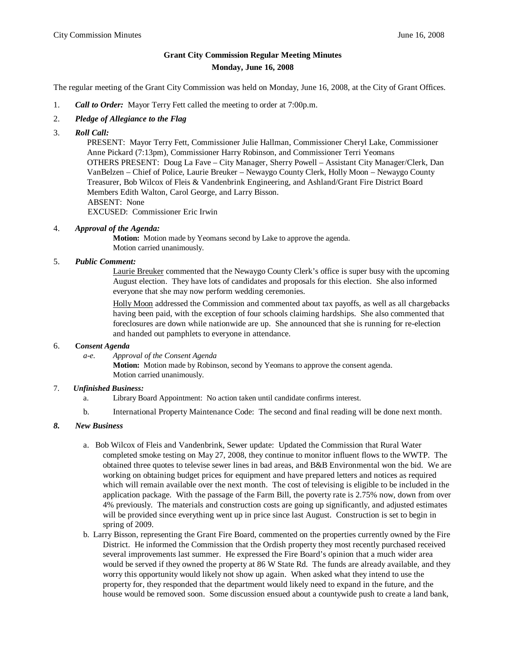# **Grant City Commission Regular Meeting Minutes Monday, June 16, 2008**

The regular meeting of the Grant City Commission was held on Monday, June 16, 2008, at the City of Grant Offices.

- 1. *Call to Order:* Mayor Terry Fett called the meeting to order at 7:00p.m.
- 2. *Pledge of Allegiance to the Flag*
- 3. *Roll Call:*

PRESENT: Mayor Terry Fett, Commissioner Julie Hallman, Commissioner Cheryl Lake, Commissioner Anne Pickard (7:13pm), Commissioner Harry Robinson, and Commissioner Terri Yeomans OTHERS PRESENT: Doug La Fave – City Manager, Sherry Powell – Assistant City Manager/Clerk, Dan VanBelzen – Chief of Police, Laurie Breuker – Newaygo County Clerk, Holly Moon – Newaygo County Treasurer, Bob Wilcox of Fleis & Vandenbrink Engineering, and Ashland/Grant Fire District Board Members Edith Walton, Carol George, and Larry Bisson. ABSENT: None

EXCUSED: Commissioner Eric Irwin

### 4. *Approval of the Agenda:*

**Motion:** Motion made by Yeomans second by Lake to approve the agenda. Motion carried unanimously.

### 5. *Public Comment:*

Laurie Breuker commented that the Newaygo County Clerk's office is super busy with the upcoming August election. They have lots of candidates and proposals for this election. She also informed everyone that she may now perform wedding ceremonies.

Holly Moon addressed the Commission and commented about tax payoffs, as well as all chargebacks having been paid, with the exception of four schools claiming hardships. She also commented that foreclosures are down while nationwide are up. She announced that she is running for re-election and handed out pamphlets to everyone in attendance.

### 6. **C***onsent Agenda*

*a-e. Approval of the Consent Agenda*

**Motion:** Motion made by Robinson, second by Yeomans to approve the consent agenda. Motion carried unanimously.

### 7. *Unfinished Business:*

- a. Library Board Appointment: No action taken until candidate confirms interest.
- b. International Property Maintenance Code: The second and final reading will be done next month.

### *8. New Business*

- a. Bob Wilcox of Fleis and Vandenbrink, Sewer update: Updated the Commission that Rural Water completed smoke testing on May 27, 2008, they continue to monitor influent flows to the WWTP. The obtained three quotes to televise sewer lines in bad areas, and B&B Environmental won the bid. We are working on obtaining budget prices for equipment and have prepared letters and notices as required which will remain available over the next month. The cost of televising is eligible to be included in the application package. With the passage of the Farm Bill, the poverty rate is 2.75% now, down from over 4% previously. The materials and construction costs are going up significantly, and adjusted estimates will be provided since everything went up in price since last August. Construction is set to begin in spring of 2009.
- b. Larry Bisson, representing the Grant Fire Board, commented on the properties currently owned by the Fire District. He informed the Commission that the Ordish property they most recently purchased received several improvements last summer. He expressed the Fire Board's opinion that a much wider area would be served if they owned the property at 86 W State Rd. The funds are already available, and they worry this opportunity would likely not show up again. When asked what they intend to use the property for, they responded that the department would likely need to expand in the future, and the house would be removed soon. Some discussion ensued about a countywide push to create a land bank,